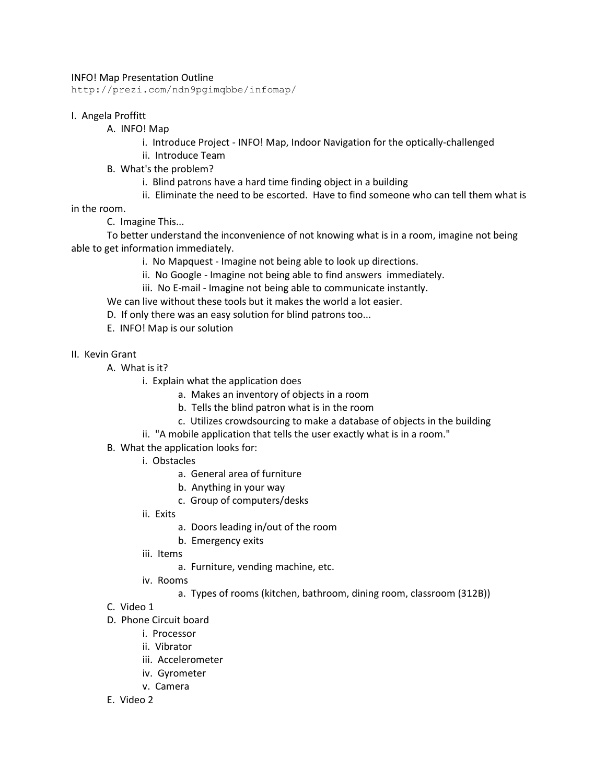## INFO! Map Presentation Outline

http://prezi.com/ndn9pgimqbbe/infomap/

## I. Angela Proffitt

- A. INFO! Map
	- i. Introduce Project INFO! Map, Indoor Navigation for the optically-challenged
	- ii. Introduce Team
- B. What's the problem?
	- i. Blind patrons have a hard time finding object in a building
	- ii. Eliminate the need to be escorted. Have to find someone who can tell them what is

in the room.

C. Imagine This...

 To better understand the inconvenience of not knowing what is in a room, imagine not being able to get information immediately.

- i. No Mapquest Imagine not being able to look up directions.
- ii. No Google Imagine not being able to find answers immediately.
- iii. No E-mail Imagine not being able to communicate instantly.

We can live without these tools but it makes the world a lot easier.

- D. If only there was an easy solution for blind patrons too...
- E. INFO! Map is our solution
- II. Kevin Grant
	- A. What is it?
		- i. Explain what the application does
			- a. Makes an inventory of objects in a room
			- b. Tells the blind patron what is in the room
			- c. Utilizes crowdsourcing to make a database of objects in the building
		- ii. "A mobile application that tells the user exactly what is in a room."
	- B. What the application looks for:
		- i. Obstacles
			- a. General area of furniture
			- b. Anything in your way
			- c. Group of computers/desks
		- ii. Exits
			- a. Doors leading in/out of the room
			- b. Emergency exits
		- iii. Items
			- a. Furniture, vending machine, etc.
		- iv. Rooms
			- a. Types of rooms (kitchen, bathroom, dining room, classroom (312B))
	- C. Video 1
	- D. Phone Circuit board
		- i. Processor
		- ii. Vibrator
		- iii. Accelerometer
		- iv. Gyrometer
		- v. Camera
	- E. Video 2